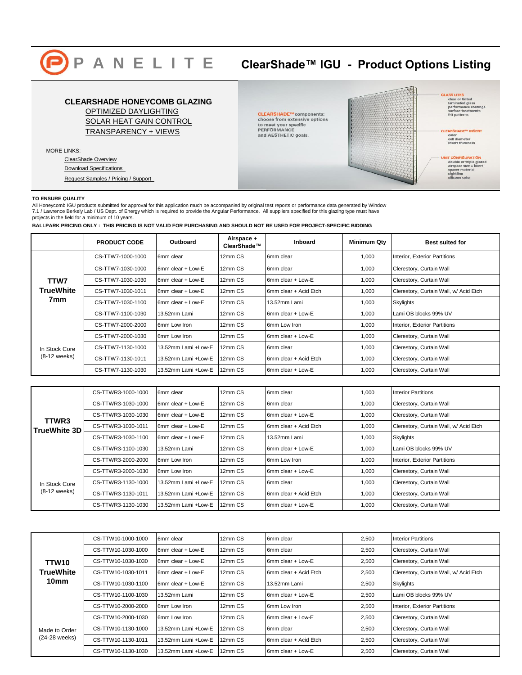

# **P A N E L I T E ClearShade™ IGU - Product Options Listing**

# **GLASS LITES**<br>clear or tinted<br>laminated glass<br>performance coatings<br>surface treatments<br>frit patterns **CLEARSHADE HONEYCOMB GLAZING** [OPTIMIZED DAYLIGHTING](http://www.panelite.us/products/exterior-clearshade-igu/clearshade-overview/clearshade-igu-optimize-daylighting/) CLEARSHADE™ components:<br>choose from extensive options [SOLAR HEAT GAIN CONTROL](http://www.panelite.us/products/exterior-clearshade-igu/solar-heat-gain-control/) to meet your specific<br>PERFORMANCE<br>and AESTHETIC goals. CLEARSHADE™ INSERT<br>color<br>cell diameter<br>insert thickness [TRANSPARENCY + VIEWS](http://www.panelite.us/products/exterior-clearshade-igu/clearshade-overview/clearshade-igu-transparency-views/) MORE LINKS: **UNIT CONFIGURATION**<br>
double or triple glazed<br>
alrspace size + fillers<br>
spacer material<br>
sightline<br>
sillcone color [ClearShade Overview](http://www.panelite.us/products/exterior-clearshade-igu/clearshade-overview/) [Download Specifications](http://www.panelite.us/wp-content/uploads/2013/07/Panelite-ClearShade-IGU_Specifications_Template.pdf)  [Request Samples / Pricing / Support](http://www.panelite.us/requestssupport/requests-support/)

## **TO ENSURE QUALITY**

All Honeycomb IGU products submitted for approval for this application much be accompanied by original test reports or performance data generated by Window 7.1 / Lawrence Berkely Lab / US Dept. of Energy which is required to provide the Angular Performance. All suppliers specified for this glazing type must have projects in the field for a minimum of 10 years.

**BALLPARK PRICING ONLY : THIS PRICING IS NOT VALID FOR PURCHASING AND SHOULD NOT BE USED FOR PROJECT-SPECIFIC BIDDING**

|                                 | <b>PRODUCT CODE</b> | Outboard            | Airspace +<br>ClearShade™ | <b>Inboard</b>        | <b>Minimum Qty</b> | <b>Best suited for</b>                 |
|---------------------------------|---------------------|---------------------|---------------------------|-----------------------|--------------------|----------------------------------------|
| TTW7<br><b>TrueWhite</b><br>7mm | CS-TTW7-1000-1000   | 6mm clear           | 12mm CS                   | 6mm clear             | 1,000              | Interior, Exterior Partitions          |
|                                 | CS-TTW7-1030-1000   | 6mm clear + Low-E   | 12mm CS                   | 6mm clear             | 1,000              | Clerestory, Curtain Wall               |
|                                 | CS-TTW7-1030-1030   | 6mm clear + Low-E   | 12mm CS                   | 6mm clear + Low-E     | 1,000              | Clerestory, Curtain Wall               |
|                                 | CS-TTW7-1030-1011   | 6mm clear + Low-E   | 12mm CS                   | 6mm clear + Acid Etch | 1,000              | Clerestory, Curtain Wall, w/ Acid Etch |
|                                 | CS-TTW7-1030-1100   | 6mm clear + Low-E   | 12mm CS                   | 13.52mm Lami          | 1,000              | Skylights                              |
|                                 | CS-TTW7-1100-1030   | 13.52mm Lami        | 12mm CS                   | 6mm clear + Low-E     | 1,000              | Lami OB blocks 99% UV                  |
|                                 | CS-TTW7-2000-2000   | 6mm Low Iron        | 12mm CS                   | 6mm Low Iron          | 1,000              | Interior, Exterior Partitions          |
| In Stock Core<br>$(8-12$ weeks) | CS-TTW7-2000-1030   | 6mm Low Iron        | 12mm CS                   | 6mm clear + Low-E     | 1,000              | Clerestory, Curtain Wall               |
|                                 | CS-TTW7-1130-1000   | 13.52mm Lami +Low-E | 12mm CS                   | 6mm clear             | 1,000              | Clerestory, Curtain Wall               |
|                                 | CS-TTW7-1130-1011   | 13.52mm Lami +Low-E | 12mm CS                   | 6mm clear + Acid Etch | 1.000              | Clerestory, Curtain Wall               |
|                                 | CS-TTW7-1130-1030   | 13.52mm Lami +Low-E | 12mm CS                   | 6mm clear + Low-E     | 1,000              | Clerestory, Curtain Wall               |

| TTWR3<br>TrueWhite 3D           | CS-TTWR3-1000-1000 | 6mm clear           | 12mm CS | 6mm clear             | 1,000 | <b>Interior Partitions</b>             |
|---------------------------------|--------------------|---------------------|---------|-----------------------|-------|----------------------------------------|
|                                 | CS-TTWR3-1030-1000 | 6mm clear + Low-E   | 12mm CS | 6mm clear             | 1,000 | Clerestory, Curtain Wall               |
|                                 | CS-TTWR3-1030-1030 | 6mm clear + Low-E   | 12mm CS | 6mm clear + Low-E     | 1,000 | Clerestory, Curtain Wall               |
|                                 | CS-TTWR3-1030-1011 | 6mm clear + Low-E   | 12mm CS | 6mm clear + Acid Etch | 1,000 | Clerestory, Curtain Wall, w/ Acid Etch |
|                                 | CS-TTWR3-1030-1100 | 6mm clear + Low-E   | 12mm CS | 13.52mm Lami          | 1,000 | <b>Skylights</b>                       |
|                                 | CS-TTWR3-1100-1030 | 13.52mm Lami        | 12mm CS | 6mm clear + Low-E     | 1,000 | Lami OB blocks 99% UV                  |
|                                 | CS-TTWR3-2000-2000 | 6mm Low Iron        | 12mm CS | 6mm Low Iron          | 1,000 | Interior, Exterior Partitions          |
| In Stock Core<br>$(8-12$ weeks) | CS-TTWR3-2000-1030 | 6mm Low Iron        | 12mm CS | 6mm clear + Low-E     | 1,000 | Clerestory, Curtain Wall               |
|                                 | CS-TTWR3-1130-1000 | 13.52mm Lami +Low-E | 12mm CS | 6mm clear             | 1,000 | Clerestory, Curtain Wall               |
|                                 | CS-TTWR3-1130-1011 | 13.52mm Lami +Low-E | 12mm CS | 6mm clear + Acid Etch | 1,000 | Clerestory, Curtain Wall               |
|                                 | CS-TTWR3-1130-1030 | 13.52mm Lami +Low-E | 12mm CS | 6mm clear + Low-E     | 1,000 | Clerestory, Curtain Wall               |

| TTW10<br><b>TrueWhite</b><br>10 <sub>mm</sub> | CS-TTW10-1000-1000 | 6mm clear           | 12mm CS | 6mm clear             | 2,500 | <b>Interior Partitions</b>             |
|-----------------------------------------------|--------------------|---------------------|---------|-----------------------|-------|----------------------------------------|
|                                               | CS-TTW10-1030-1000 | 6mm clear + Low-E   | 12mm CS | 6mm clear             | 2,500 | Clerestory, Curtain Wall               |
|                                               | CS-TTW10-1030-1030 | 6mm clear + Low-E   | 12mm CS | 6mm clear + Low-E     | 2,500 | Clerestory, Curtain Wall               |
|                                               | CS-TTW10-1030-1011 | 6mm clear + Low-E   | 12mm CS | 6mm clear + Acid Etch | 2,500 | Clerestory, Curtain Wall, w/ Acid Etch |
|                                               | CS-TTW10-1030-1100 | 6mm clear + Low-E   | 12mm CS | 13.52mm Lami          | 2,500 | <b>Skylights</b>                       |
|                                               | CS-TTW10-1100-1030 | 13.52mm Lami        | 12mm CS | 6mm clear + Low-E     | 2,500 | Lami OB blocks 99% UV                  |
|                                               | CS-TTW10-2000-2000 | 6mm Low Iron        | 12mm CS | 6mm Low Iron          | 2,500 | Interior, Exterior Partitions          |
| Made to Order<br>(24-28 weeks)                | CS-TTW10-2000-1030 | 6mm Low Iron        | 12mm CS | 6mm clear + Low-E     | 2,500 | Clerestory, Curtain Wall               |
|                                               | CS-TTW10-1130-1000 | 13.52mm Lami +Low-E | 12mm CS | 6mm clear             | 2,500 | Clerestory, Curtain Wall               |
|                                               | CS-TTW10-1130-1011 | 13.52mm Lami +Low-E | 12mm CS | 6mm clear + Acid Etch | 2,500 | Clerestory, Curtain Wall               |
|                                               | CS-TTW10-1130-1030 | 13.52mm Lami +Low-E | 12mm CS | 6mm clear + Low-E     | 2,500 | Clerestory, Curtain Wall               |